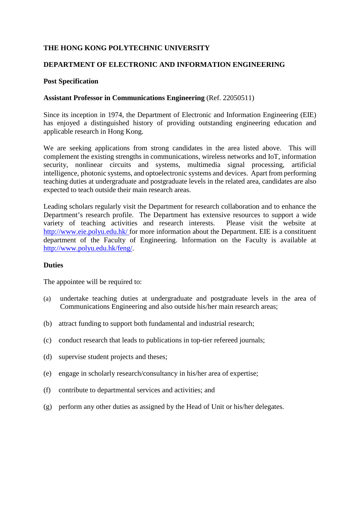# **THE HONG KONG POLYTECHNIC UNIVERSITY**

## **DEPARTMENT OF ELECTRONIC AND INFORMATION ENGINEERING**

## **Post Specification**

#### **Assistant Professor in Communications Engineering** (Ref. 22050511)

Since its inception in 1974, the Department of Electronic and Information Engineering (EIE) has enjoyed a distinguished history of providing outstanding engineering education and applicable research in Hong Kong.

We are seeking applications from strong candidates in the area listed above. This will complement the existing strengths in communications, wireless networks and IoT, information security, nonlinear circuits and systems, multimedia signal processing, artificial intelligence, photonic systems, and optoelectronic systems and devices. Apart from performing teaching duties at undergraduate and postgraduate levels in the related area, candidates are also expected to teach outside their main research areas.

Leading scholars regularly visit the Department for research collaboration and to enhance the Department's research profile. The Department has extensive resources to support a wide variety of teaching activities and research interests. Please visit the website at <http://www.eie.polyu.edu.hk/> for more information about the Department. EIE is a constituent department of the Faculty of Engineering. Information on the Faculty is available at [http://www.polyu.edu.hk/feng/.](http://www.polyu.edu.hk/feng/)

#### **Duties**

The appointee will be required to:

- (a) undertake teaching duties at undergraduate and postgraduate levels in the area of Communications Engineering and also outside his/her main research areas;
- (b) attract funding to support both fundamental and industrial research;
- (c) conduct research that leads to publications in top-tier refereed journals;
- (d) supervise student projects and theses;
- (e) engage in scholarly research/consultancy in his/her area of expertise;
- (f) contribute to departmental services and activities; and
- (g) perform any other duties as assigned by the Head of Unit or his/her delegates.